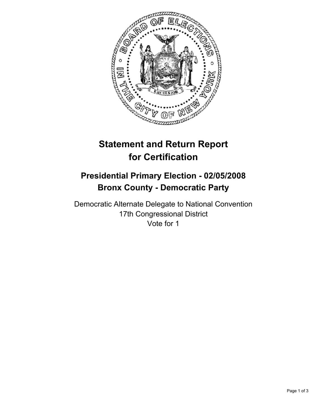

# **Statement and Return Report for Certification**

## **Presidential Primary Election - 02/05/2008 Bronx County - Democratic Party**

Democratic Alternate Delegate to National Convention 17th Congressional District Vote for 1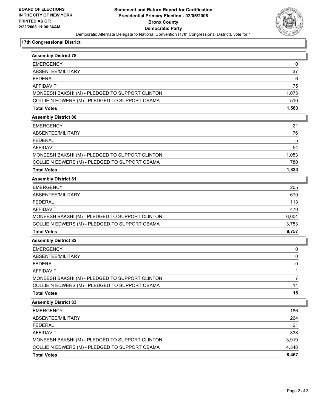

#### **17th Congressional District**

| <b>Assembly District 78</b>                     |       |
|-------------------------------------------------|-------|
| <b>EMERGENCY</b>                                | 0     |
| ABSENTEE/MILITARY                               | 37    |
| <b>FEDERAL</b>                                  | 6     |
| <b>AFFIDAVIT</b>                                | 75    |
| MONEESH BAKSHI (M) - PLEDGED TO SUPPORT CLINTON | 1,073 |
| COLLIE N EDWERS (M) - PLEDGED TO SUPPORT OBAMA  | 510   |
| <b>Total Votes</b>                              | 1,583 |
| <b>Assembly District 80</b>                     |       |
| <b>EMERGENCY</b>                                | 21    |
| ABSENTEE/MILITARY                               | 76    |
| <b>FEDERAL</b>                                  | 5     |
| <b>AFFIDAVIT</b>                                | 54    |
| MONEESH BAKSHI (M) - PLEDGED TO SUPPORT CLINTON | 1,053 |
| COLLIE N EDWERS (M) - PLEDGED TO SUPPORT OBAMA  | 780   |
| <b>Total Votes</b>                              | 1,833 |
| <b>Assembly District 81</b>                     |       |
| <b>EMERGENCY</b>                                | 205   |
| ABSENTEE/MILITARY                               | 670   |
| <b>FEDERAL</b>                                  | 113   |
| <b>AFFIDAVIT</b>                                | 470   |
| MONEESH BAKSHI (M) - PLEDGED TO SUPPORT CLINTON | 6,004 |
| COLLIE N EDWERS (M) - PLEDGED TO SUPPORT OBAMA  | 3,753 |
| <b>Total Votes</b>                              | 9,757 |
| <b>Assembly District 82</b>                     |       |
| <b>EMERGENCY</b>                                | 0     |
| ABSENTEE/MILITARY                               | 0     |
| <b>FEDERAL</b>                                  | 0     |
| <b>AFFIDAVIT</b>                                |       |
| MONEESH BAKSHI (M) - PLEDGED TO SUPPORT CLINTON | 7     |
| COLLIE N EDWERS (M) - PLEDGED TO SUPPORT OBAMA  | 11    |
| <b>Total Votes</b>                              | 18    |
| <b>Assembly District 83</b>                     |       |
| <b>EMERGENCY</b>                                | 186   |
| ABSENTEE/MILITARY                               | 264   |
| <b>FEDERAL</b>                                  | 21    |
| <b>AFFIDAVIT</b>                                | 338   |
| MONEESH BAKSHI (M) - PLEDGED TO SUPPORT CLINTON | 3,919 |
| COLLIE N EDWERS (M) - PLEDGED TO SUPPORT OBAMA  | 4,548 |
| <b>Total Votes</b>                              | 8,467 |